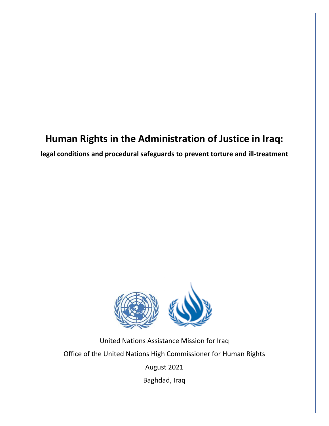## **Human Rights in the Administration of Justice in Iraq:**

**legal conditions and procedural safeguards to prevent torture and ill-treatment**



United Nations Assistance Mission for Iraq Office of the United Nations High Commissioner for Human Rights

August 2021

Baghdad, Iraq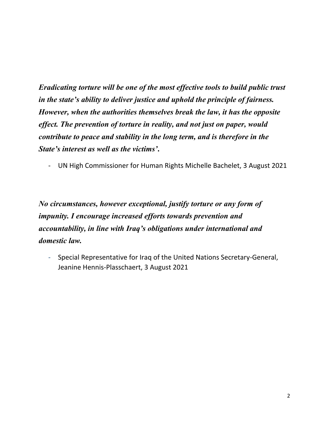*Eradicating torture will be one of the most effective tools to build public trust in the state's ability to deliver justice and uphold the principle of fairness. However, when the authorities themselves break the law, it has the opposite effect. The prevention of torture in reality, and not just on paper, would contribute to peace and stability in the long term, and is therefore in the State's interest as well as the victims'***.**

- UN High Commissioner for Human Rights Michelle Bachelet, 3 August 2021

*No circumstances, however exceptional, justify torture or any form of impunity. I encourage increased efforts towards prevention and accountability, in line with Iraq's obligations under international and domestic law.*

- Special Representative for Iraq of the United Nations Secretary-General, Jeanine Hennis-Plasschaert, 3 August 2021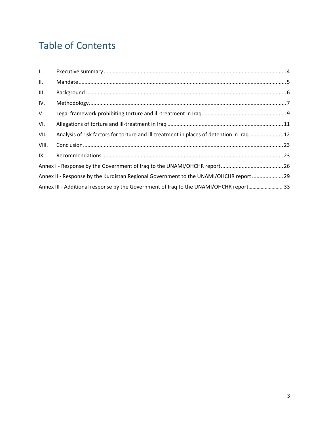# Table of Contents

| $\mathbf{L}$ |                                                                                          |  |
|--------------|------------------------------------------------------------------------------------------|--|
| Ш.           |                                                                                          |  |
| III.         |                                                                                          |  |
| IV.          |                                                                                          |  |
| V.           |                                                                                          |  |
| VI.          |                                                                                          |  |
| VII.         | Analysis of risk factors for torture and ill-treatment in places of detention in Iraq 12 |  |
| VIII.        |                                                                                          |  |
| IX.          |                                                                                          |  |
|              |                                                                                          |  |
|              | Annex II - Response by the Kurdistan Regional Government to the UNAMI/OHCHR report  29   |  |
|              | Annex III - Additional response by the Government of Iraq to the UNAMI/OHCHR report 33   |  |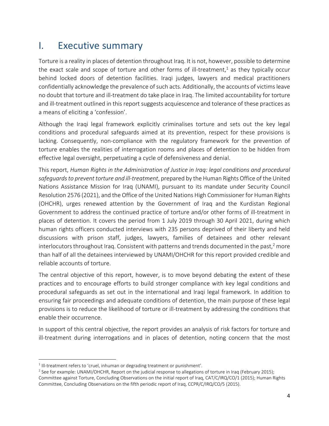## <span id="page-3-0"></span>I. Executive summary

Torture is a reality in places of detention throughout Iraq. It is not, however, possible to determine the exact scale and scope of torture and other forms of ill-treatment, <sup>1</sup> as they typically occur behind locked doors of detention facilities. Iraqi judges, lawyers and medical practitioners confidentially acknowledge the prevalence of such acts. Additionally, the accounts of victims leave no doubt that torture and ill-treatment do take place in Iraq. The limited accountability for torture and ill-treatment outlined in this report suggests acquiescence and tolerance of these practices as a means of eliciting a 'confession'.

Although the Iraqi legal framework explicitly criminalises torture and sets out the key legal conditions and procedural safeguards aimed at its prevention, respect for these provisions is lacking. Consequently, non-compliance with the regulatory framework for the prevention of torture enables the realities of interrogation rooms and places of detention to be hidden from effective legal oversight, perpetuating a cycle of defensiveness and denial.

This report, *Human Rights in the Administration of Justice in Iraq: legal conditions and procedural safeguards to prevent torture and ill-treatment*, prepared by the Human Rights Office of the United Nations Assistance Mission for Iraq (UNAMI), pursuant to its mandate under Security Council Resolution 2576 (2021), and the Office of the United Nations High Commissioner for Human Rights (OHCHR), urges renewed attention by the Government of Iraq and the Kurdistan Regional Government to address the continued practice of torture and/or other forms of ill-treatment in places of detention. It covers the period from 1 July 2019 through 30 April 2021, during which human rights officers conducted interviews with 235 persons deprived of their liberty and held discussions with prison staff, judges, lawyers, families of detainees and other relevant interlocutors throughout Iraq. Consistent with patterns and trends documented in the past,<sup>2</sup> more than half of all the detainees interviewed by UNAMI/OHCHR for this report provided credible and reliable accounts of torture.

The central objective of this report, however, is to move beyond debating the extent of these practices and to encourage efforts to build stronger compliance with key legal conditions and procedural safeguards as set out in the international and Iraqi legal framework. In addition to ensuring fair proceedings and adequate conditions of detention, the main purpose of these legal provisions is to reduce the likelihood of torture or ill-treatment by addressing the conditions that enable their occurrence.

In support of this central objective, the report provides an analysis of risk factors for torture and ill-treatment during interrogations and in places of detention, noting concern that the most

 $<sup>1</sup>$  Ill-treatment refers to 'cruel, inhuman or degrading treatment or punishment'.</sup>

<sup>&</sup>lt;sup>2</sup> See for example: UNAMI/OHCHR, Report on the judicial response to allegations of torture in Iraq (February 2015); Committee against Torture, Concluding Observations on the initial report of Iraq, CAT/C/IRQ/CO/1 (2015); Human Rights Committee, Concluding Observations on the fifth periodic report of Iraq, CCPR/C/IRQ/CO/5 (2015).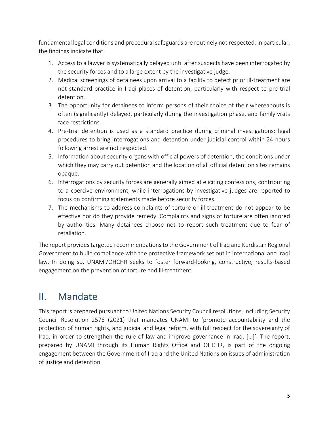fundamental legal conditions and procedural safeguards are routinely not respected. In particular, the findings indicate that:

- 1. Access to a lawyer is systematically delayed until after suspects have been interrogated by the security forces and to a large extent by the investigative judge.
- 2. Medical screenings of detainees upon arrival to a facility to detect prior ill-treatment are not standard practice in Iraqi places of detention, particularly with respect to pre-trial detention.
- 3. The opportunity for detainees to inform persons of their choice of their whereabouts is often (significantly) delayed, particularly during the investigation phase, and family visits face restrictions.
- 4. Pre-trial detention is used as a standard practice during criminal investigations; legal procedures to bring interrogations and detention under judicial control within 24 hours following arrest are not respected.
- 5. Information about security organs with official powers of detention, the conditions under which they may carry out detention and the location of all official detention sites remains opaque.
- 6. Interrogations by security forces are generally aimed at eliciting confessions, contributing to a coercive environment, while interrogations by investigative judges are reported to focus on confirming statements made before security forces.
- 7. The mechanisms to address complaints of torture or ill-treatment do not appear to be effective nor do they provide remedy. Complaints and signs of torture are often ignored by authorities. Many detainees choose not to report such treatment due to fear of retaliation.

The report provides targeted recommendations to the Government of Iraq and Kurdistan Regional Government to build compliance with the protective framework set out in international and Iraqi law. In doing so, UNAMI/OHCHR seeks to foster forward-looking, constructive, results-based engagement on the prevention of torture and ill-treatment.

## <span id="page-4-0"></span>II. Mandate

This report is prepared pursuant to United Nations Security Council resolutions, including Security Council Resolution 2576 (2021) that mandates UNAMI to 'promote accountability and the protection of human rights, and judicial and legal reform, with full respect for the sovereignty of Iraq, in order to strengthen the rule of law and improve governance in Iraq, […]'. The report, prepared by UNAMI through its Human Rights Office and OHCHR, is part of the ongoing engagement between the Government of Iraq and the United Nations on issues of administration of justice and detention.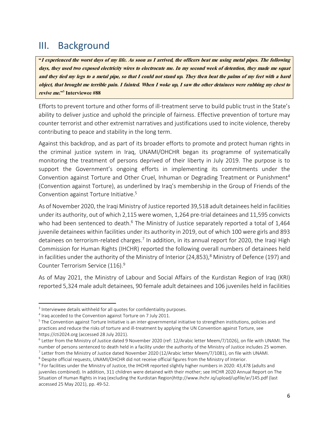## <span id="page-5-0"></span>III. Background

"I experienced the worst days of my life. As soon as I arrived, the officers beat me using metal pipes. The following days, they used two exposed electricity wires to electrocute me. In my second week of detention, they made me squat and they tied my legs to a metal pipe, so that I could not stand up. They then beat the palms of my feet with a hard object, that brought me terrible pain. I fainted. When I woke up, I saw the other detainees were rubbing my chest to revive me."<sup>3</sup> Interviewee #88

Efforts to prevent torture and other forms of ill-treatment serve to build public trust in the State's ability to deliver justice and uphold the principle of fairness. Effective prevention of torture may counter terrorist and other extremist narratives and justifications used to incite violence, thereby contributing to peace and stability in the long term.

Against this backdrop, and as part of its broader efforts to promote and protect human rights in the criminal justice system in Iraq, UNAMI/OHCHR began its programme of systematically monitoring the treatment of persons deprived of their liberty in July 2019. The purpose is to support the Government's ongoing efforts in implementing its commitments under the Convention against Torture and Other Cruel, Inhuman or Degrading Treatment or Punishment<sup>4</sup> (Convention against Torture), as underlined by Iraq's membership in the Group of Friends of the Convention against Torture Initiative.<sup>5</sup>

As of November 2020, the Iraqi Ministry of Justice reported 39,518 adult detainees held in facilities under its authority, out of which 2,115 were women, 1,264 pre-trial detainees and 11,595 convicts who had been sentenced to death.<sup>6</sup> The Ministry of Justice separately reported a total of 1,464 juvenile detainees within facilities under its authority in 2019, out of which 100 were girls and 893 detainees on terrorism-related charges.<sup>7</sup> In addition, in its annual report for 2020, the Iraqi High Commission for Human Rights (IHCHR) reported the following overall numbers of detainees held in facilities under the authority of the Ministry of Interior (24,853),<sup>8</sup> Ministry of Defence (197) and Counter Terrorism Service (116).<sup>9</sup>

As of May 2021, the Ministry of Labour and Social Affairs of the Kurdistan Region of Iraq (KRI) reported 5,324 male adult detainees, 90 female adult detainees and 106 juveniles held in facilities

<sup>&</sup>lt;sup>3</sup> Interviewee details withheld for all quotes for confidentiality purposes.

<sup>&</sup>lt;sup>4</sup> Iraq acceded to the Convention against Torture on 7 July 2011.

<sup>&</sup>lt;sup>5</sup> The Convention against Torture Initiative is an inter-governmental initiative to strengthen institutions, policies and practices and reduce the risks of torture and ill-treatment by applying the UN Convention against Torture, see https://cti2024.org (accessed 28 July 2021).

<sup>6</sup> Letter from the Ministry of Justice dated 9 November 2020 (ref: 12/Arabic letter Meem/7/1026), on file with UNAMI. The number of persons sentenced to death held in a facility under the authority of the Ministry of Justice includes 25 women.  $^7$  Letter from the Ministry of Justice dated November 2020 (12/Arabic letter Meem/7/1081), on file with UNAMI.

<sup>&</sup>lt;sup>8</sup> Despite official requests, UNAMI/OHCHR did not receive official figures from the Ministry of Interior.

<sup>&</sup>lt;sup>9</sup> For facilities under the Ministry of Justice, the IHCHR reported slightly higher numbers in 2020: 43,478 (adults and juveniles combined). In addition, 311 children were detained with their mother; see IHCHR 2020 Annual Report on The Situation of Human Rights in Iraq (excluding the Kurdistan Region[\)http://www.ihchr.iq/upload/upfile/ar/145.pdf](http://www.ihchr.iq/upload/upfile/ar/145.pdf) (last accessed 25 May 2021), pp. 49-52.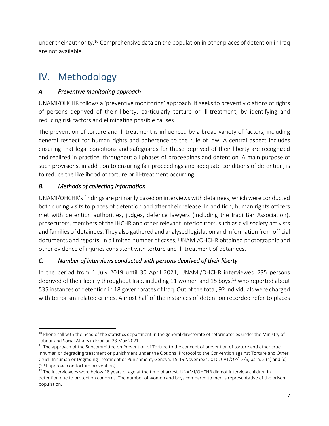under their authority. <sup>10</sup> Comprehensive data on the population in other places of detention in Iraq are not available.

## <span id="page-6-0"></span>IV. Methodology

## *A. Preventive monitoring approach*

UNAMI/OHCHR follows a 'preventive monitoring' approach. It seeks to prevent violations of rights of persons deprived of their liberty, particularly torture or ill-treatment, by identifying and reducing risk factors and eliminating possible causes.

The prevention of torture and ill-treatment is influenced by a broad variety of factors, including general respect for human rights and adherence to the rule of law. A central aspect includes ensuring that legal conditions and safeguards for those deprived of their liberty are recognized and realized in practice, throughout all phases of proceedings and detention. A main purpose of such provisions, in addition to ensuring fair proceedings and adequate conditions of detention, is to reduce the likelihood of torture or ill-treatment occurring. 11

## *B. Methods of collecting information*

UNAMI/OHCHR's findings are primarily based on interviews with detainees, which were conducted both during visits to places of detention and after their release. In addition, human rights officers met with detention authorities, judges, defence lawyers (including the Iraqi Bar Association), prosecutors, members of the IHCHR and other relevant interlocutors, such as civil society activists and families of detainees. They also gathered and analysed legislation and information from official documents and reports. In a limited number of cases, UNAMI/OHCHR obtained photographic and other evidence of injuries consistent with torture and ill-treatment of detainees.

## *C. Number of interviews conducted with persons deprived of their liberty*

In the period from 1 July 2019 until 30 April 2021, UNAMI/OHCHR interviewed 235 persons deprived of their liberty throughout Iraq, including 11 women and 15 boys, <sup>12</sup> who reported about 535 instances of detention in 18 governorates of Iraq. Out of the total, 92 individuals were charged with terrorism-related crimes. Almost half of the instances of detention recorded refer to places

<sup>&</sup>lt;sup>10</sup> Phone call with the head of the statistics department in the general directorate of reformatories under the Ministry of Labour and Social Affairs in Erbil on 23 May 2021.

 $11$  The approach of the Subcommittee on Prevention of Torture to the concept of prevention of torture and other cruel, inhuman or degrading treatment or punishment under the Optional Protocol to the Convention against Torture and Other Cruel, Inhuman or Degrading Treatment or Punishment, Geneva, 15-19 November 2010, CAT/OP/12/6, para. 5 (a) and (c) (SPT approach on torture prevention).

 $12$  The interviewees were below 18 years of age at the time of arrest. UNAMI/OHCHR did not interview children in detention due to protection concerns. The number of women and boys compared to men is representative of the prison population.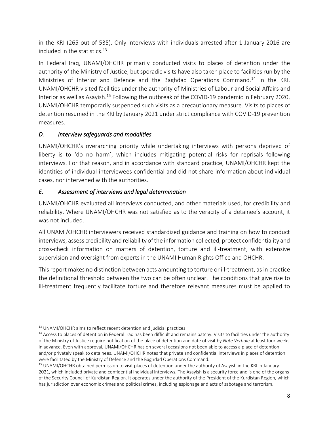in the KRI (265 out of 535). Only interviews with individuals arrested after 1 January 2016 are included in the statistics.<sup>13</sup>

In Federal Iraq, UNAMI/OHCHR primarily conducted visits to places of detention under the authority of the Ministry of Justice, but sporadic visits have also taken place to facilities run by the Ministries of Interior and Defence and the Baghdad Operations Command.<sup>14</sup> In the KRI, UNAMI/OHCHR visited facilities under the authority of Ministries of Labour and Social Affairs and Interior as well as Asayish.<sup>15</sup> Following the outbreak of the COVID-19 pandemic in February 2020, UNAMI/OHCHR temporarily suspended such visits as a precautionary measure. Visits to places of detention resumed in the KRI by January 2021 under strict compliance with COVID-19 prevention measures.

## *D. Interview safeguards and modalities*

UNAMI/OHCHR's overarching priority while undertaking interviews with persons deprived of liberty is to 'do no harm', which includes mitigating potential risks for reprisals following interviews. For that reason, and in accordance with standard practice, UNAMI/OHCHR kept the identities of individual interviewees confidential and did not share information about individual cases, nor intervened with the authorities.

## *E. Assessment of interviews and legal determination*

UNAMI/OHCHR evaluated all interviews conducted, and other materials used, for credibility and reliability. Where UNAMI/OHCHR was not satisfied as to the veracity of a detainee's account, it was not included.

All UNAMI/OHCHR interviewers received standardized guidance and training on how to conduct interviews, assess credibility and reliability of the information collected, protect confidentiality and cross-check information on matters of detention, torture and ill-treatment, with extensive supervision and oversight from experts in the UNAMI Human Rights Office and OHCHR.

This report makes no distinction between acts amounting to torture or ill-treatment, as in practice the definitional threshold between the two can be often unclear. The conditions that give rise to ill-treatment frequently facilitate torture and therefore relevant measures must be applied to

<sup>&</sup>lt;sup>13</sup> UNAMI/OHCHR aims to reflect recent detention and judicial practices.

<sup>&</sup>lt;sup>14</sup> Access to places of detention in Federal Iraq has been difficult and remains patchy. Visits to facilities under the authority of the Ministry of Justice require notification of the place of detention and date of visit by *Note Verbale* at least four weeks in advance. Even with approval, UNAMI/OHCHR has on several occasions not been able to access a place of detention and/or privately speak to detainees. UNAMI/OHCHR notes that private and confidential interviews in places of detention were facilitated by the Ministry of Defence and the Baghdad Operations Command.

<sup>&</sup>lt;sup>15</sup> UNAMI/OHCHR obtained permission to visit places of detention under the authority of Asayish in the KRI in January 2021, which included private and confidential individual interviews. The Asayish is a security force and is one of the organs of the Security Council of Kurdistan Region. It operates under the authority of the President of the Kurdistan Region, which has jurisdiction over economic crimes and political crimes, including espionage and acts of sabotage and terrorism.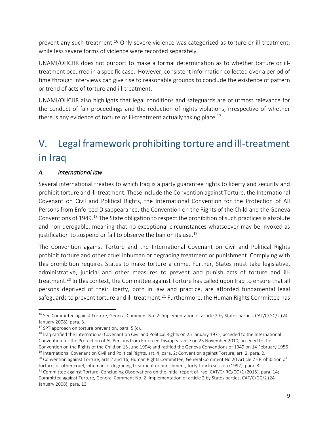prevent any such treatment.<sup>16</sup> Only severe violence was categorized as torture or ill-treatment, while less severe forms of violence were recorded separately.

UNAMI/OHCHR does not purport to make a formal determination as to whether torture or illtreatment occurred in a specific case. However, consistent information collected over a period of time through interviews can give rise to reasonable grounds to conclude the existence of pattern or trend of acts of torture and ill-treatment.

UNAMI/OHCHR also highlights that legal conditions and safeguards are of utmost relevance for the conduct of fair proceedings and the reduction of rights violations, irrespective of whether there is any evidence of torture or ill-treatment actually taking place.<sup>17</sup>

# <span id="page-8-0"></span>V. Legal framework prohibiting torture and ill-treatment in Iraq

## *A. International law*

Several international treaties to which Iraq is a party guarantee rights to liberty and security and prohibit torture and ill-treatment. These include the Convention against Torture, the International Covenant on Civil and Political Rights, the International Convention for the Protection of All Persons from Enforced Disappearance, the Convention on the Rights of the Child and the Geneva Conventions of 1949.<sup>18</sup> The State obligation to respect the prohibition of such practices is absolute and non-derogable, meaning that no exceptional circumstances whatsoever may be invoked as justification to suspend or fail to observe the ban on its use.<sup>19</sup>

The Convention against Torture and the International Covenant on Civil and Political Rights prohibit torture and other cruel inhuman or degrading treatment or punishment. Complying with this prohibition requires States to make torture a crime. Further, States must take legislative, administrative, judicial and other measures to prevent and punish acts of torture and illtreatment.<sup>20</sup> In this context, the Committee against Torture has called upon Iraq to ensure that all persons deprived of their liberty, both in law and practice, are afforded fundamental legal safeguards to prevent torture and ill-treatment.<sup>21</sup> Furthermore, the Human Rights Committee has

<sup>&</sup>lt;sup>16</sup> See Committee against Torture, General Comment No. 2: Implementation of article 2 by States parties, CAT/C/GC/2 (24 January 2008), para. 3.

 $17$  SPT approach on torture prevention, para. 5 (c).

<sup>&</sup>lt;sup>18</sup> Iraq ratified the International Covenant on Civil and Political Rights on 25 January 1971; acceded to the International Convention for the Protection of All Persons from Enforced Disappearance on 23 November 2010; acceded to the Convention on the Rights of the Child on 15 June 1994; and ratified the Geneva Conventions of 1949 on 14 February 1956.  $19$  International Covenant on Civil and Political Rights, art. 4, para. 2; Convention against Torture, art. 2, para. 2.

<sup>&</sup>lt;sup>20</sup> Convention against Torture, arts 2 and 16; Human Rights Committee, General Comment No 20 Article 7 - Prohibition of torture, or other cruel, inhuman or degrading treatment or punishment, forty-fourth session (1992), para. 8.

<sup>&</sup>lt;sup>21</sup> Committee against Torture, Concluding Observations on the initial report of Iraq, CAT/C/IRQ/CO/1 (2015), para. 14; Committee against Torture, General Comment No. 2: Implementation of article 2 by States parties, CAT/C/GC/2 (24 January 2008), para. 13.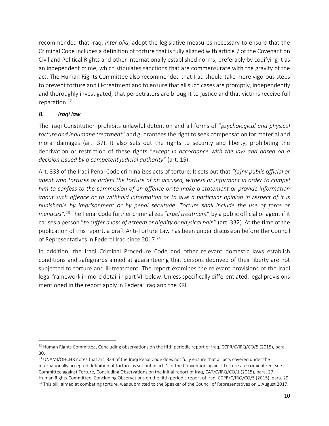recommended that Iraq, *inter alia*, adopt the legislative measures necessary to ensure that the Criminal Code includes a definition of torture that is fully aligned with article 7 of the Covenant on Civil and Political Rights and other internationally established norms, preferably by codifying it as an independent crime, which stipulates sanctions that are commensurate with the gravity of the act. The Human Rights Committee also recommended that Iraq should take more vigorous steps to prevent torture and ill-treatment and to ensure that all such cases are promptly, independently and thoroughly investigated, that perpetrators are brought to justice and that victims receive full reparation. 22

## *B. Iraqi law*

The Iraqi Constitution prohibits unlawful detention and all forms of "*psychological and physical torture and inhumane treatment*" and guarantees the right to seek compensation for material and moral damages (art. 37). It also sets out the rights to security and liberty, prohibiting the deprivation or restriction of these rights "*except in accordance with the law and based on a decision issued by a competent judicial authority*" (art. 15).

Art. 333 of the Iraqi Penal Code criminalizes acts of torture. It sets out that *"[a]ny public official or agent who tortures or orders the torture of an accused, witness or informant in order to compel him to confess to the commission of an offence or to make a statement or provide information about such offence or to withhold information or to give a particular opinion in respect of it is punishable by imprisonment or by penal servitude. Torture shall include the use of force or menaces".* <sup>23</sup> The Penal Code further criminalizes "*cruel treatment*" by a public official or agent if it causes a person "*to suffer a loss of esteem or dignity or physical pain*" (art. 332). At the time of the publication of this report, a draft Anti-Torture Law has been under discussion before the Council of Representatives in Federal Iraq since 2017.<sup>24</sup>

In addition, the Iraqi Criminal Procedure Code and other relevant domestic laws establish conditions and safeguards aimed at guaranteeing that persons deprived of their liberty are not subjected to torture and ill-treatment. The report examines the relevant provisions of the Iraqi legal framework in more detail in part VII below. Unless specifically differentiated, legal provisions mentioned in the report apply in Federal Iraq and the KRI.

<sup>&</sup>lt;sup>22</sup> Human Rights Committee, Concluding observations on the fifth periodic report of Iraq, CCPR/C/IRQ/CO/5 (2015), para. 30.

<sup>&</sup>lt;sup>23</sup> UNAMI/OHCHR notes that art. 333 of the Iraqi Penal Code does not fully ensure that all acts covered under the internationally accepted definition of torture as set out in art. 1 of the Convention against Torture are criminalized; see Committee against Torture, Concluding Observations on the initial report of Iraq, CAT/C/IRQ/CO/1 (2015), para. 27; Human Rights Committee, Concluding Observations on the fifth periodic report of Iraq, CCPR/C/IRQ/CO/5 (2015), para. 29. <sup>24</sup> This bill, aimed at combating torture, was submitted to the Speaker of the Council of Representatives on 1 August 2017.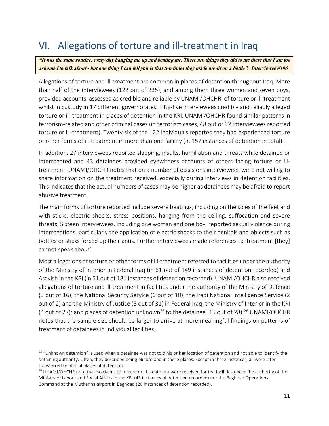# <span id="page-10-0"></span>VI. Allegations of torture and ill-treatment in Iraq

"It was the same routine, every day hanging me up and beating me. There are things they did to me there that I am too ashamed to talk about - but one thing I can tell you is that two times they made me sit on a bottle". Interviewee #106

Allegations of torture and ill-treatment are common in places of detention throughout Iraq. More than half of the interviewees (122 out of 235), and among them three women and seven boys, provided accounts, assessed as credible and reliable by UNAMI/OHCHR, of torture or ill-treatment whilst in custody in 17 different governorates. Fifty-five interviewees credibly and reliably alleged torture or ill-treatment in places of detention in the KRI. UNAMI/OHCHR found similar patterns in terrorism-related and other criminal cases (in terrorism cases, 48 out of 92 interviewees reported torture or ill-treatment). Twenty-six of the 122 individuals reported they had experienced torture or other forms of ill-treatment in more than one facility (in 157 instances of detention in total).

In addition, 27 interviewees reported slapping, insults, humiliation and threats while detained or interrogated and 43 detainees provided eyewitness accounts of others facing torture or illtreatment. UNAMI/OHCHR notes that on a number of occasions interviewees were not willing to share information on the treatment received, especially during interviews in detention facilities. This indicates that the actual numbers of cases may be higher as detainees may be afraid to report abusive treatment.

The main forms of torture reported include severe beatings, including on the soles of the feet and with sticks, electric shocks, stress positions, hanging from the ceiling, suffocation and severe threats. Sixteen interviewees, including one woman and one boy, reported sexual violence during interrogations, particularly the application of electric shocks to their genitals and objects such as bottles or sticks forced up their anus. Further interviewees made references to 'treatment [they] cannot speak about'.

Most allegations of torture or other forms of ill-treatment referred to facilities under the authority of the Ministry of Interior in Federal Iraq (in 61 out of 149 instances of detention recorded) and Asayish in the KRI (in 51 out of 181 instances of detention recorded). UNAMI/OHCHR also received allegations of torture and ill-treatment in facilities under the authority of the Ministry of Defence (3 out of 16), the National Security Service (6 out of 10), the Iraqi National Intelligence Service (2 out of 2) and the Ministry of Justice (5 out of 31) in Federal Iraq; the Ministry of Interior in the KRI (4 out of 27); and places of detention unknown<sup>25</sup> to the detainee (15 out of 28).<sup>26</sup> UNAMI/OHCHR notes that the sample size should be larger to arrive at more meaningful findings on patterns of treatment of detainees in individual facilities.

 $25$  "Unknown detention" is used when a detainee was not told his or her location of detention and not able to identify the detaining authority. Often, they described being blindfolded in these places. Except in three instances, all were later transferred to official places of detention.

<sup>&</sup>lt;sup>26</sup> UNAMI/OHCHR note that no claims of torture or ill-treatment were received for the facilities under the authority of the Ministry of Labour and Social Affairs in the KRI (43 instances of detention recorded) nor the Baghdad Operations Command at the Muthanna airport in Baghdad (20 instances of detention recorded).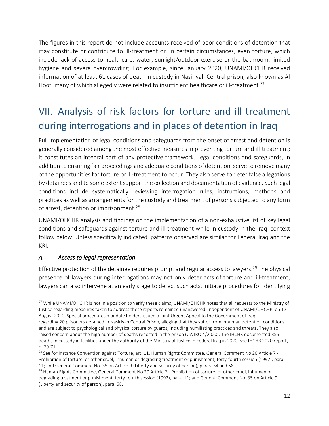The figures in this report do not include accounts received of poor conditions of detention that may constitute or contribute to ill-treatment or, in certain circumstances, even torture, which include lack of access to healthcare, water, sunlight/outdoor exercise or the bathroom, limited hygiene and severe overcrowding. For example, since January 2020, UNAMI/OHCHR received information of at least 61 cases of death in custody in Nasiriyah Central prison, also known as Al Hoot, many of which allegedly were related to insufficient healthcare or ill-treatment.<sup>27</sup>

# <span id="page-11-0"></span>VII. Analysis of risk factors for torture and ill-treatment during interrogations and in places of detention in Iraq

Full implementation of legal conditions and safeguards from the onset of arrest and detention is generally considered among the most effective measures in preventing torture and ill-treatment; it constitutes an integral part of any protective framework. Legal conditions and safeguards, in addition to ensuring fair proceedings and adequate conditions of detention, serve to remove many of the opportunities for torture or ill-treatment to occur. They also serve to deter false allegations by detainees and to some extent support the collection and documentation of evidence. Such legal conditions include systematically reviewing interrogation rules, instructions, methods and practices as well as arrangements for the custody and treatment of persons subjected to any form of arrest, detention or imprisonment.<sup>28</sup>

UNAMI/OHCHR analysis and findings on the implementation of a non-exhaustive list of key legal conditions and safeguards against torture and ill-treatment while in custody in the Iraqi context follow below. Unless specifically indicated, patterns observed are similar for Federal Iraq and the KRI.

## *A. Access to legal representation*

Effective protection of the detainee requires prompt and regular access to lawyers.<sup>29</sup> The physical presence of lawyers during interrogations may not only deter acts of torture and ill-treatment; lawyers can also intervene at an early stage to detect such acts, initiate procedures for identifying

<sup>&</sup>lt;sup>27</sup> While UNAMI/OHCHR is not in a position to verify these claims, UNAMI/OHCHR notes that all requests to the Ministry of Justice regarding measures taken to address these reports remained unanswered. Independent of UNAMI/OHCHR, on 17 August 2020, Special procedures mandate holders issued a joint Urgent Appeal to the Government of Iraq regarding 20 prisoners detained in Nasiriyah Central Prison, alleging that they suffer from inhuman detention conditions and are subject to psychological and physical torture by guards, including humiliating practices and threats. They also raised concern about the high number of deaths reported in the prison (UA IRQ 4/2020). The IHCHR documented 355 deaths in custody in facilities under the authority of the Ministry of Justice in Federal Iraq in 2020, see IHCHR 2020 report, p. 70-71.

 $^{28}$  See for instance Convention against Torture, art. 11. Human Rights Committee, General Comment No 20 Article 7 -Prohibition of torture, or other cruel, inhuman or degrading treatment or punishment, forty-fourth session (1992), para. 11; and General Comment No. 35 on Article 9 (Liberty and security of person), paras. 34 and 58.

<sup>&</sup>lt;sup>29</sup> Human Rights Committee, General Comment No 20 Article 7 - Prohibition of torture, or other cruel, inhuman or degrading treatment or punishment, forty-fourth session (1992), para. 11; and General Comment No. 35 on Article 9 (Liberty and security of person), para. 58.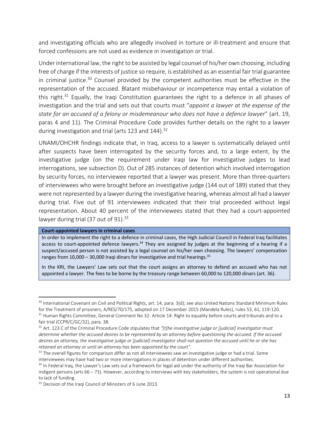and investigating officials who are allegedly involved in torture or ill-treatment and ensure that forced confessions are not used as evidence in investigation or trial.

Under international law, the right to be assisted by legal counsel of his/her own choosing, including free of charge if the interests of justice so require, is established as an essential fair trial guarantee in criminal justice. <sup>30</sup> Counsel provided by the competent authorities must be effective in the representation of the accused. Blatant misbehaviour or incompetence may entail a violation of this right.<sup>31</sup> Equally, the Iraqi Constitution guarantees the right to a defence in all phases of investigation and the trial and sets out that courts must "*appoint a lawyer at the expense of the state for an accused of a felony or misdemeanour who does not have a defence lawyer*" (art. 19, paras 4 and 11). The Criminal Procedure Code provides further details on the right to a lawyer during investigation and trial (arts 123 and 144).  $32$ 

UNAMI/OHCHR findings indicate that, in Iraq, access to a lawyer is systematically delayed until after suspects have been interrogated by the security forces and, to a large extent, by the investigative judge (on the requirement under Iraqi law for investigative judges to lead interrogations, see subsection D). Out of 285 instances of detention which involved interrogation by security forces, no interviewee reported that a lawyer was present. More than three-quarters of interviewees who were brought before an investigative judge (144 out of 189) stated that they were not represented by a lawyer during the investigative hearing, whereas almost all had a lawyer during trial. Five out of 91 interviewees indicated that their trial proceeded without legal representation. About 40 percent of the interviewees stated that they had a court-appointed lawyer during trial (37 out of 91).<sup>33</sup>

#### **Court-appointed lawyers in criminal cases**

In order to implement the right to a defence in criminal cases, the High Judicial Council in Federal Iraq facilitates access to court-appointed defence lawyers.<sup>34</sup> They are assigned by judges at the beginning of a hearing if a suspect/accused person is not assisted by a legal counsel on his/her own choosing. The lawyers' compensation ranges from 10,000 – 30,000 Iraqi dinars for investigative and trial hearings.<sup>35</sup>

In the KRI, the Lawyers' Law sets out that the court assigns an attorney to defend an accused who has not appointed a lawyer. The fees to be borne by the treasury range between 60,000 to 120,000 dinars (art. 36).

 $30$  International Covenant on Civil and Political Rights, art. 14, para. 3(d); see also United Nations Standard Minimum Rules for the Treatment of prisoners, A/RES/70/175, adopted on 17 December 2015 (Mandela Rules), rules 53, 61, 119-120. <sup>31</sup> Human Rights Committee, General Comment No 32- Article 14: Right to equality before courts and tribunals and to a fair trial (CCPR/C/GC/32), para. 38.

<sup>32</sup> Art. 123 C of the Criminal Procedure Code stipulates that *"[t]he investigative judge or [judicial] investigator must determine whether the accused desires to be represented by an attorney before questioning the accused. If the accused desires an attorney, the investigative judge or [judicial] investigator shall not question the accused until he or she has retained an attorney or until an attorney has been appointed by the court"*.

 $33$  The overall figures for comparison differ as not all interviewees saw an investigative judge or had a trial. Some interviewees may have had two or more interrogations in places of detention under different authorities.

<sup>&</sup>lt;sup>34</sup> In Federal Iraq, the Lawyer's Law sets out a framework for legal aid under the authority of the Iraqi Bar Association for indigent persons (arts 66 – 73). However, according to interviews with key stakeholders, the system is not operational due to lack of funding.

<sup>&</sup>lt;sup>35</sup> Decision of the Iraqi Council of Ministers of 6 June 2013.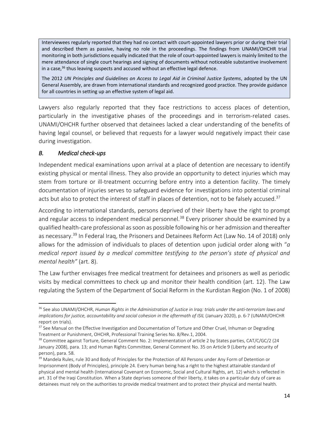Interviewees regularly reported that they had no contact with court-appointed lawyers prior or during their trial and described them as passive, having no role in the proceedings. The findings from UNAMI/OHCHR trial monitoring in both jurisdictions equally indicated that the role of court-appointed lawyers is mainly limited to the mere attendance of single court hearings and signing of documents without noticeable substantive involvement in a case, <sup>36</sup> thus leaving suspects and accused without an effective legal defence.

The 2012 *UN Principles and Guidelines on Access to Legal Aid in Criminal Justice Systems*, adopted by the UN General Assembly, are drawn from international standards and recognized good practice. They provide guidance for all countries in setting up an effective system of legal aid.

Lawyers also regularly reported that they face restrictions to access places of detention, particularly in the investigative phases of the proceedings and in terrorism-related cases. UNAMI/OHCHR further observed that detainees lacked a clear understanding of the benefits of having legal counsel, or believed that requests for a lawyer would negatively impact their case during investigation.

## *B. Medical check-ups*

Independent medical examinations upon arrival at a place of detention are necessary to identify existing physical or mental illness. They also provide an opportunity to detect injuries which may stem from torture or ill-treatment occurring before entry into a detention facility. The timely documentation of injuries serves to safeguard evidence for investigations into potential criminal acts but also to protect the interest of staff in places of detention, not to be falsely accused.<sup>37</sup>

According to international standards, persons deprived of their liberty have the right to prompt and regular access to independent medical personnel.<sup>38</sup> Every prisoner should be examined by a qualified health-care professional as soon as possible following his or her admission and thereafter as necessary.<sup>39</sup> In Federal Iraq, the Prisoners and Detainees Reform Act (Law No. 14 of 2018) only allows for the admission of individuals to places of detention upon judicial order along with "*a medical report issued by a medical committee testifying to the person's state of physical and mental health"* (art. 8).

The Law further envisages free medical treatment for detainees and prisoners as well as periodic visits by medical committees to check up and monitor their health condition (art. 12). The Law regulating the System of the Department of Social Reform in the Kurdistan Region (No. 1 of 2008)

<sup>36</sup> See also UNAMI/OHCHR, *Human Rights in the Administration of Justice in Iraq: trials under the anti-terrorism laws and implications for justice, accountability and social cohesion in the aftermath of ISIL* (January 2020), p. 6-7 (UNAMI/OHCHR report on trials).

<sup>&</sup>lt;sup>37</sup> See Manual on the Effective Investigation and Documentation of Torture and Other Cruel, Inhuman or Degrading Treatment or Punishment, OHCHR, Professional Training Series No. 8/Rev.1, 2004.

<sup>&</sup>lt;sup>38</sup> Committee against Torture, General Comment No. 2: Implementation of article 2 by States parties, CAT/C/GC/2 (24 January 2008), para. 13; and Human Rights Committee, General Comment No. 35 on Article 9 (Liberty and security of person), para. 58.

<sup>&</sup>lt;sup>39</sup> Mandela Rules, rule 30 and Body of Principles for the Protection of All Persons under Any Form of Detention or Imprisonment (Body of Principles), principle 24. Every human being has a right to the highest attainable standard of physical and mental health (International Covenant on Economic, Social and Cultural Rights, art. 12) which is reflected in art. 31 of the Iraqi Constitution. When a State deprives someone of their liberty, it takes on a particular duty of care as detainees must rely on the authorities to provide medical treatment and to protect their physical and mental health.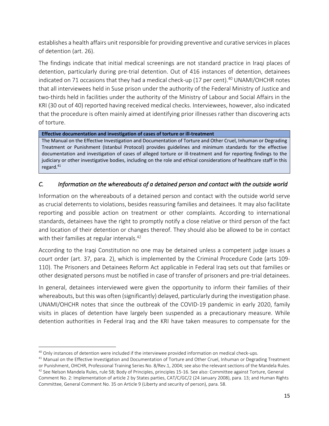establishes a health affairs unit responsible for providing preventive and curative services in places of detention (art. 26).

The findings indicate that initial medical screenings are not standard practice in Iraqi places of detention, particularly during pre-trial detention. Out of 416 instances of detention, detainees indicated on 71 occasions that they had a medical check-up (17 per cent). <sup>40</sup> UNAMI/OHCHR notes that all interviewees held in Suse prison under the authority of the Federal Ministry of Justice and two-thirds held in facilities under the authority of the Ministry of Labour and Social Affairs in the KRI (30 out of 40) reported having received medical checks. Interviewees, however, also indicated that the procedure is often mainly aimed at identifying prior illnesses rather than discovering acts of torture.

#### **Effective documentation and investigation of cases of torture or ill-treatment**

The Manual on the Effective Investigation and Documentation of Torture and Other Cruel, Inhuman or Degrading Treatment or Punishment (Istanbul Protocol) provides guidelines and minimum standards for the effective documentation and investigation of cases of alleged torture or ill-treatment and for reporting findings to the judiciary or other investigative bodies, including on the role and ethical considerations of healthcare staff in this regard.<sup>41</sup>

## *C. Information on the whereabouts of a detained person and contact with the outside world*

Information on the whereabouts of a detained person and contact with the outside world serve as crucial deterrents to violations, besides reassuring families and detainees. It may also facilitate reporting and possible action on treatment or other complaints. According to international standards, detainees have the right to promptly notify a close relative or third person of the fact and location of their detention or changes thereof. They should also be allowed to be in contact with their families at regular intervals.<sup>42</sup>

According to the Iraqi Constitution no one may be detained unless a competent judge issues a court order (art. 37, para. 2), which is implemented by the Criminal Procedure Code (arts 109- 110). The Prisoners and Detainees Reform Act applicable in Federal Iraq sets out that families or other designated persons must be notified in case of transfer of prisoners and pre-trial detainees.

In general, detainees interviewed were given the opportunity to inform their families of their whereabouts, but this was often (significantly) delayed, particularly during the investigation phase. UNAMI/OHCHR notes that since the outbreak of the COVID-19 pandemic in early 2020, family visits in places of detention have largely been suspended as a precautionary measure. While detention authorities in Federal Iraq and the KRI have taken measures to compensate for the

<sup>&</sup>lt;sup>40</sup> Only instances of detention were included if the interviewee provided information on medical check-ups.

 $41$  Manual on the Effective Investigation and Documentation of Torture and Other Cruel, Inhuman or Degrading Treatment or Punishment, OHCHR, Professional Training Series No. 8/Rev.1, 2004; see also the relevant sections of the Mandela Rules.

 $42$  See Nelson Mandela Rules, rule 58; Body of Principles, principles 15-16. See also: Committee against Torture, General Comment No. 2: Implementation of article 2 by States parties, CAT/C/GC/2 (24 January 2008), para. 13; and Human Rights Committee, General Comment No. 35 on Article 9 (Liberty and security of person), para. 58.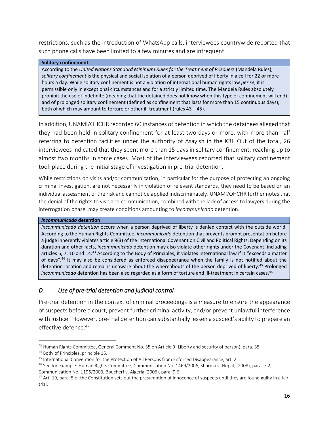restrictions, such as the introduction of WhatsApp calls, interviewees countrywide reported that such phone calls have been limited to a few minutes and are infrequent.

#### **Solitary confinement**

According to the *United Nations Standard Minimum Rules for the Treatment of Prisoners* (Mandela Rules), s*olitary confinement* is the physical and social isolation of a person deprived of liberty in a cell for 22 or more hours a day. While solitary confinement is not a violation of international human rights law *per se*, it is permissible only in exceptional circumstances and for a strictly limited time. The Mandela Rules absolutely prohibit the use of indefinite (meaning that the detained does not know when this type of confinement will end) and of prolonged solitary confinement (defined as confinement that lasts for more than 15 continuous days), both of which may amount to torture or other ill-treatment (rules 43 – 45).

In addition, UNAMI/OHCHR recorded 60 instances of detention in which the detainees alleged that they had been held in solitary confinement for at least two days or more, with more than half referring to detention facilities under the authority of Asayish in the KRI. Out of the total, 26 interviewees indicated that they spent more than 15 days in solitary confinement, reaching up to almost two months in some cases. Most of the interviewees reported that solitary confinement took place during the initial stage of investigation in pre-trial detention.

While restrictions on visits and/or communication, in particular for the purpose of protecting an ongoing criminal investigation, are not necessarily in violation of relevant standards, they need to be based on an individual assessment of the risk and cannot be applied indiscriminately. UNAMI/OHCHR further notes that the denial of the rights to visit and communication, combined with the lack of access to lawyers during the interrogation phase, may create conditions amounting to *incommunicado* detention.

#### *Incommunicado* **detention**

*Incommunicado detention* occurs when a person deprived of liberty is denied contact with the outside world. According to the Human Rights Committee, *incommunicado* detention that prevents prompt presentation before a judge inherently violates article 9(3) of the International Covenant on Civil and Political Rights. Depending on its duration and other facts, *incommunicado* detention may also violate other rights under the Covenant, including articles 6, 7, 10 and 14.<sup>43</sup> According to the Body of Principles, it violates international law if it "exceeds a matter of days".<sup>44</sup> It may also be considered as enforced disappearance when the family is not notified about the detention location and remains unaware about the whereabouts of the person deprived of liberty.<sup>45</sup> Prolonged incommunicado detention has been also regarded as a form of torture and ill-treatment in certain cases.<sup>46</sup>

## *D. Use of pre-trial detention and judicial control*

Pre-trial detention in the context of criminal proceedings is a measure to ensure the appearance of suspects before a court, prevent further criminal activity, and/or prevent unlawful interference with justice. However, pre-trial detention can substantially lessen a suspect's ability to prepare an effective defence. 47

<sup>&</sup>lt;sup>43</sup> Human Rights Committee, General Comment No. 35 on Article 9 (Liberty and security of person), para. 35.

<sup>44</sup> Body of Principles, principle 15.

<sup>45</sup> International Convention for the Protection of All Persons from Enforced Disappearance, art. 2.

<sup>46</sup> See for example: Human Rights Committee, Communication No. 1469/2006, Sharma v. Nepal*,* (2008), para. 7.2; Communication No. 1196/2003, Boucherf v. Algeria (2006), para. 9.6.

 $47$  Art. 19, para. 5 of the Constitution sets out the presumption of innocence of suspects until they are found guilty in a fair trial.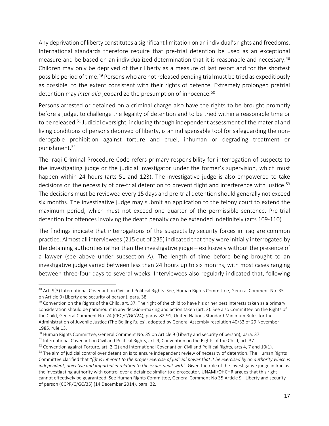Any deprivation of liberty constitutes a significant limitation on an individual's rights and freedoms. International standards therefore require that pre-trial detention be used as an exceptional measure and be based on an individualized determination that it is reasonable and necessary.<sup>48</sup> Children may only be deprived of their liberty as a measure of last resort and for the shortest possible period of time.<sup>49</sup> Persons who are not released pending trial must be tried as expeditiously as possible, to the extent consistent with their rights of defence. Extremely prolonged pretrial detention may *inter alia* jeopardize the presumption of innocence.<sup>50</sup>

Persons arrested or detained on a criminal charge also have the rights to be brought promptly before a judge, to challenge the legality of detention and to be tried within a reasonable time or to be released.<sup>51</sup> Judicial oversight, including through independent assessment of the material and living conditions of persons deprived of liberty, is an indispensable tool for safeguarding the nonderogable prohibition against torture and cruel, inhuman or degrading treatment or punishment.<sup>52</sup>

The Iraqi Criminal Procedure Code refers primary responsibility for interrogation of suspects to the investigating judge or the judicial investigator under the former's supervision, which must happen within 24 hours (arts 51 and 123). The investigative judge is also empowered to take decisions on the necessity of pre-trial detention to prevent flight and interference with justice.<sup>53</sup> The decisions must be reviewed every 15 days and pre-trial detention should generally not exceed six months. The investigative judge may submit an application to the felony court to extend the maximum period, which must not exceed one quarter of the permissible sentence. Pre-trial detention for offences involving the death penalty can be extended indefinitely (arts 109-110).

The findings indicate that interrogations of the suspects by security forces in Iraq are common practice. Almost all interviewees (215 out of 235) indicated that they were initially interrogated by the detaining authorities rather than the investigative judge – exclusively without the presence of a lawyer (see above under subsection A). The length of time before being brought to an investigative judge varied between less than 24 hours up to six months, with most cases ranging between three-four days to several weeks. Interviewees also regularly indicated that, following

<sup>48</sup> Art. 9(3) International Covenant on Civil and Political Rights. See, Human Rights Committee, General Comment No. 35 on Article 9 (Liberty and security of person), para. 38.

 $49$  Convention on the Rights of the Child, art. 37. The right of the child to have his or her best interests taken as a primary consideration should be paramount in any decision-making and action taken (art. 3). See also Committee on the Rights of the Child, General Comment No. 24 (CRC/C/GC/24), paras. 82-91; United Nations Standard Minimum Rules for the Administration of Juvenile Justice (The Beijing Rules), adopted by General Assembly resolution 40/33 of 29 November 1985, rule 13.

<sup>&</sup>lt;sup>50</sup> Human Rights Committee, General Comment No. 35 on Article 9 (Liberty and security of person), para. 37.

<sup>51</sup> International Covenant on Civil and Political Rights, art. 9; Convention on the Rights of the Child, art. 37.

 $52$  Convention against Torture, art. 2 (2) and International Covenant on Civil and Political Rights, arts 4, 7 and 10(1). <sup>53</sup> The aim of judicial control over detention is to ensure independent review of necessity of detention. The Human Rights Committee clarified that *"[i]t is inherent to the proper exercise of judicial power that it be exercised by an authority which is independent, objective and impartial in relation to the issues dealt with".* Given the role of the investigative judge in Iraq as the investigating authority with control over a detainee similar to a prosecutor, UNAMI/OHCHR argues that this right cannot effectively be guaranteed. See Human Rights Committee, General Comment No 35 Article 9 - Liberty and security of person (CCPR/C/GC/35) (14 December 2014), para. 32.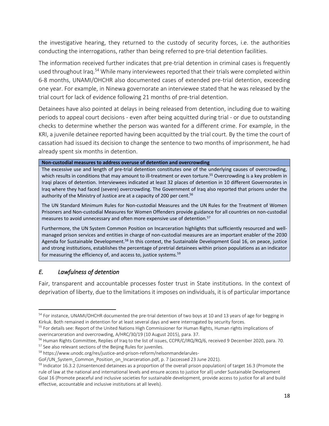the investigative hearing, they returned to the custody of security forces, i.e. the authorities conducting the interrogations, rather than being referred to pre-trial detention facilities.

The information received further indicates that pre-trial detention in criminal cases is frequently used throughout Iraq.<sup>54</sup> While many interviewees reported that their trials were completed within 6-8 months, UNAMI/OHCHR also documented cases of extended pre-trial detention, exceeding one year. For example, in Ninewa governorate an interviewee stated that he was released by the trial court for lack of evidence following 21 months of pre-trial detention.

Detainees have also pointed at delays in being released from detention, including due to waiting periods to appeal court decisions - even after being acquitted during trial - or due to outstanding checks to determine whether the person was wanted for a different crime. For example, in the KRI, a juvenile detainee reported having been acquitted by the trial court. By the time the court of cassation had issued its decision to change the sentence to two months of imprisonment, he had already spent six months in detention.

**Non-custodial measures to address overuse of detention and overcrowding**

The excessive use and length of pre-trial detention constitutes one of the underlying causes of overcrowding, which results in conditions that may amount to ill-treatment or even torture.<sup>55</sup> Overcrowding is a key problem in Iraqi places of detention. Interviewees indicated at least 32 places of detention in 10 different Governorates in Iraq where they had faced (severe) overcrowding. The Government of Iraq also reported that prisons under the authority of the Ministry of Justice are at a capacity of 200 per cent. 56

The UN Standard Minimum Rules for Non-custodial Measures and the UN Rules for the Treatment of Women Prisoners and Non-custodial Measures for Women Offenders provide guidance for all countries on non-custodial measures to avoid unnecessary and often more expensive use of detention. 57

Furthermore, the UN System Common Position on Incarceration highlights that sufficiently resourced and wellmanaged prison services and entities in charge of non-custodial measures are an important enabler of the 2030 Agenda for Sustainable Development.<sup>58</sup> In this context, the Sustainable Development Goal 16, on peace, justice and strong institutions, establishes the percentage of pretrial detainees within prison populations as an indicator for measuring the efficiency of, and access to, justice systems.<sup>59</sup>

## *E. Lawfulness of detention*

Fair, transparent and accountable processes foster trust in State institutions. In the context of deprivation of liberty, due to the limitations it imposes on individuals, it is of particular importance

<sup>57</sup> See also relevant sections of the Beijing Rules for juveniles.

<sup>&</sup>lt;sup>54</sup> For instance, UNAMI/OHCHR documented the pre-trial detention of two boys at 10 and 13 years of age for begging in Kirkuk. Both remained in detention for at least several days and were interrogated by security forces.

<sup>&</sup>lt;sup>55</sup> For details see: Report of the United Nations High Commissioner for Human Rights, Human rights implications of overincarceration and overcrowding, A/HRC/30/19 (10 August 2015), para. 37.

<sup>&</sup>lt;sup>56</sup> Human Rights Committee, Replies of Iraq to the list of issues, CCPR/C/IRQ/RQ/6, received 9 December 2020, para. 70.

<sup>58</sup> [https://www.unodc.org/res/justice-and-prison-reform/nelsonmandelarules-](https://www.unodc.org/res/justice-and-prison-reform/nelsonmandelarules-GoF/UN_System_Common_Position_on_Incarceration.pdf)

GoF/UN System Common Position on Incarceration.pdf, p. 7 (accessed 23 June 2021).

 $59$  Indicator 16.3.2 (Unsentenced detainees as a proportion of the overall prison population) of target 16.3 (Promote the rule of law at the national and international levels and ensure access to justice for all) under Sustainable Development Goal 16 (Promote peaceful and inclusive societies for sustainable development, provide access to justice for all and build effective, accountable and inclusive institutions at all levels).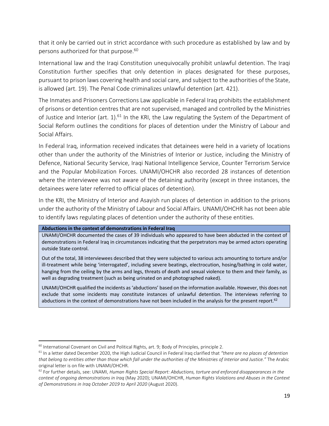that it only be carried out in strict accordance with such procedure as established by law and by persons authorized for that purpose. 60

International law and the Iraqi Constitution unequivocally prohibit unlawful detention. The Iraqi Constitution further specifies that only detention in places designated for these purposes, pursuant to prison laws covering health and social care, and subject to the authorities of the State, is allowed (art. 19). The Penal Code criminalizes unlawful detention (art. 421).

The Inmates and Prisoners Corrections Law applicable in Federal Iraq prohibits the establishment of prisons or detention centres that are not supervised, managed and controlled by the Ministries of Justice and Interior (art. 1).<sup>61</sup> In the KRI, the Law regulating the System of the Department of Social Reform outlines the conditions for places of detention under the Ministry of Labour and Social Affairs.

In Federal Iraq, information received indicates that detainees were held in a variety of locations other than under the authority of the Ministries of Interior or Justice, including the Ministry of Defence, National Security Service, Iraqi National Intelligence Service, Counter Terrorism Service and the Popular Mobilization Forces. UNAMI/OHCHR also recorded 28 instances of detention where the interviewee was not aware of the detaining authority (except in three instances, the detainees were later referred to official places of detention).

In the KRI, the Ministry of Interior and Asayish run places of detention in addition to the prisons under the authority of the Ministry of Labour and Social Affairs. UNAMI/OHCHR has not been able to identify laws regulating places of detention under the authority of these entities.

#### **Abductions in the context of demonstrations in Federal Iraq**

UNAMI/OHCHR documented the cases of 39 individuals who appeared to have been abducted in the context of demonstrations in Federal Iraq in circumstances indicating that the perpetrators may be armed actors operating outside State control.

Out of the total, 38 interviewees described that they were subjected to various acts amounting to torture and/or ill-treatment while being 'interrogated', including severe beatings, electrocution, hosing/bathing in cold water, hanging from the ceiling by the arms and legs, threats of death and sexual violence to them and their family, as well as degrading treatment (such as being urinated on and photographed naked).

UNAMI/OHCHR qualified the incidents as 'abductions' based on the information available. However, this does not exclude that some incidents may constitute instances of unlawful detention. The interviews referring to abductions in the context of demonstrations have not been included in the analysis for the present report.<sup>62</sup>

<sup>&</sup>lt;sup>60</sup> International Covenant on Civil and Political Rights, art. 9; Body of Principles, principle 2.

<sup>61</sup> In a letter dated December 2020, the High Judicial Council in Federal Iraq clarified that *"there are no places of detention that belong to entities other than those which fall under the authorities of the Ministries of Interior and Justice."* The Arabic original letter is on file with UNAMI/OHCHR.

<sup>62</sup> For further details, see: UNAMI, *Human Rights Special Report: Abductions, torture and enforced disappearances in the context of ongoing demonstrations in Iraq* (May 2020); UNAMI/OHCHR, *Human Rights Violations and Abuses in the Context of Demonstrations in Iraq October 2019 to April 2020* (August 2020).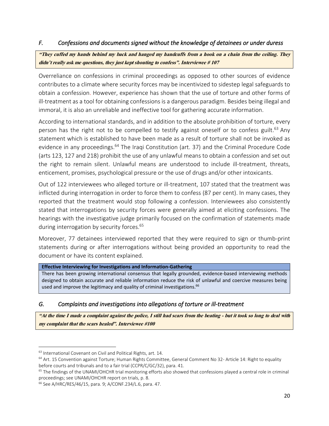## *F. Confessions and documents signed without the knowledge of detainees or under duress*

"They cuffed my hands behind my back and hanged my handcuffs from a hook on a chain from the ceiling. They didn't really ask me questions, they just kept shouting to confess". Interviewee  $# 107$ 

Overreliance on confessions in criminal proceedings as opposed to other sources of evidence contributes to a climate where security forces may be incentivized to sidestep legal safeguards to obtain a confession. However, experience has shown that the use of torture and other forms of ill-treatment as a tool for obtaining confessions is a dangerous paradigm. Besides being illegal and immoral, it is also an unreliable and ineffective tool for gathering accurate information.

According to international standards, and in addition to the absolute prohibition of torture, every person has the right not to be compelled to testify against oneself or to confess guilt.<sup>63</sup> Any statement which is established to have been made as a result of torture shall not be invoked as evidence in any proceedings.<sup>64</sup> The Iraqi Constitution (art. 37) and the Criminal Procedure Code (arts 123, 127 and 218) prohibit the use of any unlawful means to obtain a confession and set out the right to remain silent. Unlawful means are understood to include ill-treatment, threats, enticement, promises, psychological pressure or the use of drugs and/or other intoxicants.

Out of 122 interviewees who alleged torture or ill-treatment, 107 stated that the treatment was inflicted during interrogation in order to force them to confess (87 per cent). In many cases, they reported that the treatment would stop following a confession. Interviewees also consistently stated that interrogations by security forces were generally aimed at eliciting confessions. The hearings with the investigative judge primarily focused on the confirmation of statements made during interrogation by security forces. 65

Moreover, 77 detainees interviewed reported that they were required to sign or thumb-print statements during or after interrogations without being provided an opportunity to read the document or have its content explained.

#### **Effective Interviewing for Investigations and Information-Gathering**

There has been growing international consensus that legally grounded, evidence-based interviewing methods designed to obtain accurate and reliable information reduce the risk of unlawful and coercive measures being used and improve the legitimacy and quality of criminal investigations.<sup>66</sup>

## *G. Complaints and investigations into allegations of torture or ill-treatment*

"At the time I made a complaint against the police, I still had scars from the beating - but it took so long to deal with my complaint that the scars healed". Interviewee #100

<sup>63</sup> International Covenant on Civil and Political Rights, art. 14.

<sup>&</sup>lt;sup>64</sup> Art. 15 Convention against Torture; Human Rights Committee, General Comment No 32- Article 14: Right to equality before courts and tribunals and to a fair trial (CCPR/C/GC/32), para. 41.

 $<sup>65</sup>$  The findings of the UNAMI/OHCHR trial monitoring efforts also showed that confessions played a central role in criminal</sup> proceedings; see UNAMI/OHCHR report on trials, p. 8.

<sup>66</sup> See A/HRC/RES/46/15, para. 9; A/CONF.234/L.6, para. 47.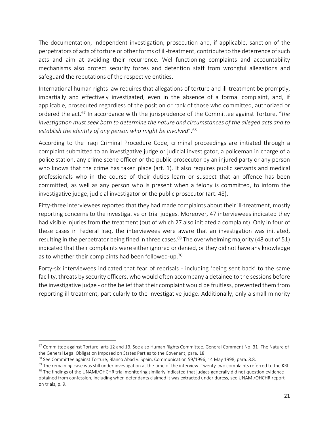The documentation, independent investigation, prosecution and, if applicable, sanction of the perpetrators of acts of torture or other forms of ill-treatment, contribute to the deterrence of such acts and aim at avoiding their recurrence. Well-functioning complaints and accountability mechanisms also protect security forces and detention staff from wrongful allegations and safeguard the reputations of the respective entities.

International human rights law requires that allegations of torture and ill-treatment be promptly, impartially and effectively investigated, even in the absence of a formal complaint, and, if applicable, prosecuted regardless of the position or rank of those who committed, authorized or ordered the act.<sup>67</sup> In accordance with the jurisprudence of the Committee against Torture, "*the investigation must seek both to determine the nature and circumstances of the alleged acts and to establish the identity of any person who might be involved*". 68

According to the Iraqi Criminal Procedure Code, criminal proceedings are initiated through a complaint submitted to an investigative judge or judicial investigator, a policeman in charge of a police station, any crime scene officer or the public prosecutor by an injured party or any person who knows that the crime has taken place (art. 1). It also requires public servants and medical professionals who in the course of their duties learn or suspect that an offence has been committed, as well as any person who is present when a felony is committed, to inform the investigative judge, judicial investigator or the public prosecutor (art. 48).

Fifty-three interviewees reported that they had made complaints about their ill-treatment, mostly reporting concerns to the investigative or trial judges. Moreover, 47 interviewees indicated they had visible injuries from the treatment (out of which 27 also initiated a complaint). Only in four of these cases in Federal Iraq, the interviewees were aware that an investigation was initiated, resulting in the perpetrator being fined in three cases.<sup>69</sup> The overwhelming majority (48 out of 51) indicated that their complaints were either ignored or denied, or they did not have any knowledge as to whether their complaints had been followed-up.<sup>70</sup>

Forty-six interviewees indicated that fear of reprisals - including 'being sent back' to the same facility, threats by security officers, who would often accompany a detainee to the sessions before the investigative judge - or the belief that their complaint would be fruitless, prevented them from reporting ill-treatment, particularly to the investigative judge. Additionally, only a small minority

<sup>&</sup>lt;sup>67</sup> Committee against Torture, arts 12 and 13. See also Human Rights Committee, General Comment No. 31- The Nature of the General Legal Obligation Imposed on States Parties to the Covenant, para. 18.

<sup>&</sup>lt;sup>68</sup> See Committee against Torture, Blanco Abad v. Spain, Communication 59/1996, 14 May 1998, para, 8.8.

<sup>&</sup>lt;sup>69</sup> The remaining case was still under investigation at the time of the interview. Twenty-two complaints referred to the KRI.  $70$  The findings of the UNAMI/OHCHR trial monitoring similarly indicated that judges generally did not question evidence

obtained from confession, including when defendants claimed it was extracted under duress, see UNAMI/OHCHR report on trials, p. 9.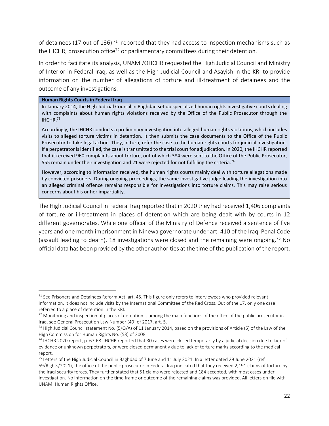of detainees (17 out of 136)<sup>71</sup> reported that they had access to inspection mechanisms such as the IHCHR, prosecution office<sup>72</sup> or parliamentary committees during their detention.

In order to facilitate its analysis, UNAMI/OHCHR requested the High Judicial Council and Ministry of Interior in Federal Iraq, as well as the High Judicial Council and Asayish in the KRI to provide information on the number of allegations of torture and ill-treatment of detainees and the outcome of any investigations.

#### **Human Rights Courts in Federal Iraq**

In January 2014, the High Judicial Council in Baghdad set up specialized human rights investigative courts dealing with complaints about human rights violations received by the Office of the Public Prosecutor through the IHCHR.<sup>73</sup>

Accordingly, the IHCHR conducts a preliminary investigation into alleged human rights violations, which includes visits to alleged torture victims in detention. It then submits the case documents to the Office of the Public Prosecutor to take legal action. They, in turn, refer the case to the human rights courts for judicial investigation. If a perpetrator is identified, the case is transmitted to the trial court for adjudication. In 2020, the IHCHR reported that it received 960 complaints about torture, out of which 384 were sent to the Office of the Public Prosecutor, 555 remain under their investigation and 21 were rejected for not fulfilling the criteria.<sup>74</sup>

However, according to information received, the human rights courts mainly deal with torture allegations made by convicted prisoners. During ongoing proceedings, the same investigative judge leading the investigation into an alleged criminal offence remains responsible for investigations into torture claims. This may raise serious concerns about his or her impartiality.

The High Judicial Council in Federal Iraq reported that in 2020 they had received 1,406 complaints of torture or ill-treatment in places of detention which are being dealt with by courts in 12 different governorates. While one official of the Ministry of Defence received a sentence of five years and one month imprisonment in Ninewa governorate under art. 410 of the Iraqi Penal Code (assault leading to death), 18 investigations were closed and the remaining were ongoing. <sup>75</sup> No official data has been provided by the other authorities at the time of the publication of the report.

 $71$  See Prisoners and Detainees Reform Act, art. 45. This figure only refers to interviewees who provided relevant information. It does not include visits by the International Committee of the Red Cross. Out of the 17, only one case referred to a place of detention in the KRI.

 $72$  Monitoring and inspection of places of detention is among the main functions of the office of the public prosecutor in Iraq, see General Prosecution Law Number (49) of 2017, art. 5.

<sup>&</sup>lt;sup>73</sup> High Judicial Council statement No. (5/Q/A) of 11 January 2014, based on the provisions of Article (5) of the Law of the High Commission for Human Rights No. (53) of 2008.

 $74$  IHCHR 2020 report, p. 67-68. IHCHR reported that 30 cases were closed temporarily by a judicial decision due to lack of evidence or unknown perpetrators, or were closed permanently due to lack of torture marks according to the medical report.

 $75$  Letters of the High Judicial Council in Baghdad of 7 June and 11 July 2021. In a letter dated 29 June 2021 (ref 59/Rights/2021), the office of the public prosecutor in Federal Iraq indicated that they received 2,191 claims of torture by the Iraqi security forces. They further stated that 51 claims were rejected and 184 accepted, with most cases under investigation. No information on the time frame or outcome of the remaining claims was provided. All letters on file with UNAMI Human Rights Office.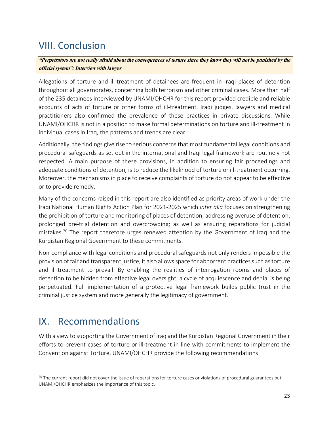## <span id="page-22-0"></span>VIII. Conclusion

"Perpetrators are not really afraid about the consequences of torture since they know they will not be punished by the official system": Interview with lawyer

Allegations of torture and ill-treatment of detainees are frequent in Iraqi places of detention throughout all governorates, concerning both terrorism and other criminal cases. More than half of the 235 detainees interviewed by UNAMI/OHCHR for this report provided credible and reliable accounts of acts of torture or other forms of ill-treatment. Iraqi judges, lawyers and medical practitioners also confirmed the prevalence of these practices in private discussions. While UNAMI/OHCHR is not in a position to make formal determinations on torture and ill-treatment in individual cases in Iraq, the patterns and trends are clear.

Additionally, the findings give rise to serious concerns that most fundamental legal conditions and procedural safeguards as set out in the international and Iraqi legal framework are routinely not respected. A main purpose of these provisions, in addition to ensuring fair proceedings and adequate conditions of detention, is to reduce the likelihood of torture or ill-treatment occurring. Moreover, the mechanisms in place to receive complaints of torture do not appear to be effective or to provide remedy.

Many of the concerns raised in this report are also identified as priority areas of work under the Iraqi National Human Rights Action Plan for 2021-2025 which *inter alia* focuses on strengthening the prohibition of torture and monitoring of places of detention; addressing overuse of detention, prolonged pre-trial detention and overcrowding; as well as ensuring reparations for judicial mistakes.<sup>76</sup> The report therefore urges renewed attention by the Government of Iraq and the Kurdistan Regional Government to these commitments.

Non-compliance with legal conditions and procedural safeguards not only renders impossible the provision of fair and transparent justice, it also allowsspace for abhorrent practices such as torture and ill-treatment to prevail. By enabling the realities of interrogation rooms and places of detention to be hidden from effective legal oversight, a cycle of acquiescence and denial is being perpetuated. Full implementation of a protective legal framework builds public trust in the criminal justice system and more generally the legitimacy of government.

## <span id="page-22-1"></span>IX. Recommendations

With a view to supporting the Government of Iraq and the Kurdistan Regional Government in their efforts to prevent cases of torture or ill-treatment in line with commitments to implement the Convention against Torture, UNAMI/OHCHR provide the following recommendations:

 $76$  The current report did not cover the issue of reparations for torture cases or violations of procedural guarantees but UNAMI/OHCHR emphasizes the importance of this topic.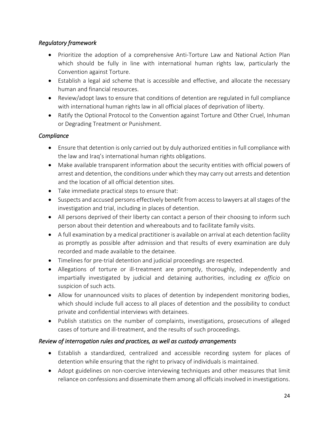## *Regulatory framework*

- Prioritize the adoption of a comprehensive Anti-Torture Law and National Action Plan which should be fully in line with international human rights law, particularly the Convention against Torture.
- Establish a legal aid scheme that is accessible and effective, and allocate the necessary human and financial resources.
- Review/adopt laws to ensure that conditions of detention are regulated in full compliance with international human rights law in all official places of deprivation of liberty.
- Ratify the Optional Protocol to the Convention against Torture and Other Cruel, Inhuman or Degrading Treatment or Punishment.

## *Compliance*

- Ensure that detention is only carried out by duly authorized entities in full compliance with the law and Iraq's international human rights obligations.
- Make available transparent information about the security entities with official powers of arrest and detention, the conditions under which they may carry out arrests and detention and the location of all official detention sites.
- Take immediate practical steps to ensure that:
- Suspects and accused persons effectively benefit from access to lawyers at all stages of the investigation and trial, including in places of detention.
- All persons deprived of their liberty can contact a person of their choosing to inform such person about their detention and whereabouts and to facilitate family visits.
- A full examination by a medical practitioner is available on arrival at each detention facility as promptly as possible after admission and that results of every examination are duly recorded and made available to the detainee.
- Timelines for pre-trial detention and judicial proceedings are respected.
- Allegations of torture or ill-treatment are promptly, thoroughly, independently and impartially investigated by judicial and detaining authorities, including *ex officio* on suspicion of such acts.
- Allow for unannounced visits to places of detention by independent monitoring bodies, which should include full access to all places of detention and the possibility to conduct private and confidential interviews with detainees.
- Publish statistics on the number of complaints, investigations, prosecutions of alleged cases of torture and ill-treatment, and the results of such proceedings.

## *Review of interrogation rules and practices, as well as custody arrangements*

- Establish a standardized, centralized and accessible recording system for places of detention while ensuring that the right to privacy of individuals is maintained.
- Adopt guidelines on non-coercive interviewing techniques and other measures that limit reliance on confessions and disseminate them among all officials involved in investigations.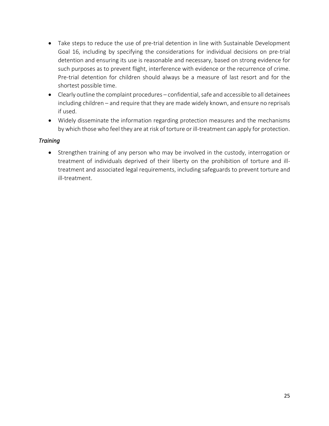- Take steps to reduce the use of pre-trial detention in line with Sustainable Development Goal 16, including by specifying the considerations for individual decisions on pre-trial detention and ensuring its use is reasonable and necessary, based on strong evidence for such purposes as to prevent flight, interference with evidence or the recurrence of crime. Pre-trial detention for children should always be a measure of last resort and for the shortest possible time.
- Clearly outline the complaint procedures confidential, safe and accessible to all detainees including children – and require that they are made widely known, and ensure no reprisals if used.
- Widely disseminate the information regarding protection measures and the mechanisms by which those who feel they are at risk of torture or ill-treatment can apply for protection.

## *Training*

• Strengthen training of any person who may be involved in the custody, interrogation or treatment of individuals deprived of their liberty on the prohibition of torture and illtreatment and associated legal requirements, including safeguards to prevent torture and ill-treatment.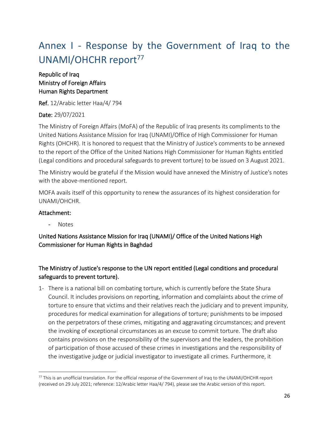# <span id="page-25-0"></span>Annex I - Response by the Government of Iraq to the UNAMI/OHCHR report<sup>77</sup>

## Republic of Iraq Ministry of Foreign Affairs Human Rights Department

Ref. 12/Arabic letter Haa/4/ 794

## Date: 29/07/2021

The Ministry of Foreign Affairs (MoFA) of the Republic of Iraq presents its compliments to the United Nations Assistance Mission for Iraq (UNAMI)/Office of High Commissioner for Human Rights (OHCHR). It is honored to request that the Ministry of Justice's comments to be annexed to the report of the Office of the United Nations High Commissioner for Human Rights entitled (Legal conditions and procedural safeguards to prevent torture) to be issued on 3 August 2021.

The Ministry would be grateful if the Mission would have annexed the Ministry of Justice's notes with the above-mentioned report.

MOFA avails itself of this opportunity to renew the assurances of its highest consideration for UNAMI/OHCHR.

## Attachment:

**Notes** 

United Nations Assistance Mission for Iraq (UNAMI)/ Office of the United Nations High Commissioner for Human Rights in Baghdad

## The Ministry of Justice's response to the UN report entitled (Legal conditions and procedural safeguards to prevent torture).

1- There is a national bill on combating torture, which is currently before the State Shura Council. It includes provisions on reporting, information and complaints about the crime of torture to ensure that victims and their relatives reach the judiciary and to prevent impunity, procedures for medical examination for allegations of torture; punishments to be imposed on the perpetrators of these crimes, mitigating and aggravating circumstances; and prevent the invoking of exceptional circumstances as an excuse to commit torture. The draft also contains provisions on the responsibility of the supervisors and the leaders, the prohibition of participation of those accused of these crimes in investigations and the responsibility of the investigative judge or judicial investigator to investigate all crimes. Furthermore, it

 $77$  This is an unofficial translation. For the official response of the Government of Iraq to the UNAMI/OHCHR report (received on 29 July 2021; reference: 12/Arabic letter Haa/4/ 794), please see the Arabic version of this report.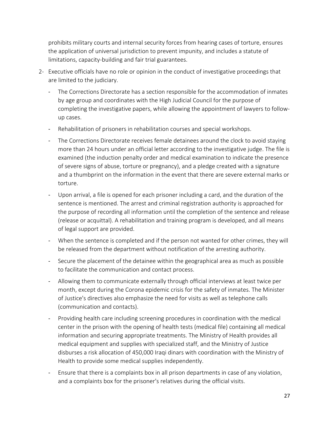prohibits military courts and internal security forces from hearing cases of torture, ensures the application of universal jurisdiction to prevent impunity, and includes a statute of limitations, capacity-building and fair trial guarantees.

- 2- Executive officials have no role or opinion in the conduct of investigative proceedings that are limited to the judiciary.
	- The Corrections Directorate has a section responsible for the accommodation of inmates by age group and coordinates with the High Judicial Council for the purpose of completing the investigative papers, while allowing the appointment of lawyers to followup cases.
	- Rehabilitation of prisoners in rehabilitation courses and special workshops.
	- The Corrections Directorate receives female detainees around the clock to avoid staying more than 24 hours under an official letter according to the investigative judge. The file is examined (the induction penalty order and medical examination to indicate the presence of severe signs of abuse, torture or pregnancy), and a pledge created with a signature and a thumbprint on the information in the event that there are severe external marks or torture.
	- Upon arrival, a file is opened for each prisoner including a card, and the duration of the sentence is mentioned. The arrest and criminal registration authority is approached for the purpose of recording all information until the completion of the sentence and release (release or acquittal). A rehabilitation and training program is developed, and all means of legal support are provided.
	- When the sentence is completed and if the person not wanted for other crimes, they will be released from the department without notification of the arresting authority.
	- Secure the placement of the detainee within the geographical area as much as possible to facilitate the communication and contact process.
	- Allowing them to communicate externally through official interviews at least twice per month, except during the Corona epidemic crisis for the safety of inmates. The Minister of Justice's directives also emphasize the need for visits as well as telephone calls (communication and contacts).
	- Providing health care including screening procedures in coordination with the medical center in the prison with the opening of health tests (medical file) containing all medical information and securing appropriate treatments. The Ministry of Health provides all medical equipment and supplies with specialized staff, and the Ministry of Justice disburses a risk allocation of 450,000 Iraqi dinars with coordination with the Ministry of Health to provide some medical supplies independently.
	- Ensure that there is a complaints box in all prison departments in case of any violation, and a complaints box for the prisoner's relatives during the official visits.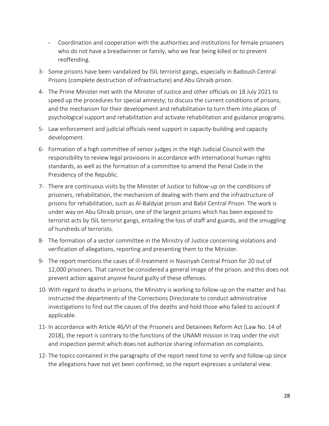- Coordination and cooperation with the authorities and institutions for female prisoners who do not have a breadwinner or family, who we fear being killed or to prevent reoffending.
- 3- Some prisons have been vandalized by ISIL terrorist gangs, especially in Badoush Central Prisons (complete destruction of infrastructure) and Abu Ghraib prison.
- 4- The Prime Minister met with the Minister of Justice and other officials on 18 July 2021 to speed up the procedures for special amnesty; to discuss the current conditions of prisons, and the mechanism for their development and rehabilitation to turn them into places of psychological support and rehabilitation and activate rehabilitation and guidance programs.
- 5- Law enforcement and judicial officials need support in capacity-building and capacity development.
- 6- Formation of a high committee of senior judges in the High Judicial Council with the responsibility to review legal provisions in accordance with international human rights standards, as well as the formation of a committee to amend the Penal Code in the Presidency of the Republic.
- 7- There are continuous visits by the Minister of Justice to follow-up on the conditions of prisoners, rehabilitation, the mechanism of dealing with them and the infrastructure of prisons for rehabilitation, such as Al-Baldyiat prison and Babil Central Prison. The work is under way on Abu Ghraib prison, one of the largest prisons which has been exposed to terrorist acts by ISIL terrorist gangs, entailing the loss of staff and guards, and the smuggling of hundreds of terrorists.
- 8- The formation of a sector committee in the Ministry of Justice concerning violations and verification of allegations, reporting and presenting them to the Minister.
- 9- The report mentions the cases of ill-treatment in Nasiriyah Central Prison for 20 out of 12,000 prisoners. That cannot be considered a general image of the prison, and this does not prevent action against anyone found guilty of these offences.
- 10- With regard to deaths in prisons, the Ministry is working to follow-up on the matter and has instructed the departments of the Corrections Directorate to conduct administrative investigations to find out the causes of the deaths and hold those who failed to account if applicable.
- 11- In accordance with Article 46/VI of the Prisoners and Detainees Reform Act (Law No. 14 of 2018), the report is contrary to the functions of the UNAMI mission in Iraq under the visit and inspection permit which does not authorize sharing information on complaints.
- 12- The topics contained in the paragraphs of the report need time to verify and follow-up since the allegations have not yet been confirmed, so the report expresses a unilateral view.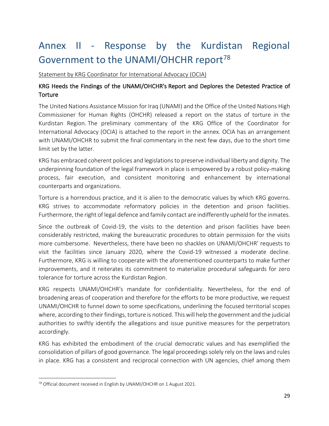# <span id="page-28-0"></span>Annex II - Response by the Kurdistan Regional Government to the UNAMI/OHCHR report<sup>78</sup>

Statement by KRG Coordinator for International Advocacy (OCIA)

## KRG Heeds the Findings of the UNAMI/OHCHR's Report and Deplores the Detested Practice of **Torture**

The United Nations Assistance Mission for Iraq (UNAMI) and the Office of the United Nations High Commissioner for Human Rights (OHCHR) released a report on the status of torture in the Kurdistan Region. The preliminary commentary of the KRG Office of the Coordinator for International Advocacy (OCIA) is attached to the report in the annex. OCIA has an arrangement with UNAMI/OHCHR to submit the final commentary in the next few days, due to the short time limit set by the latter.

KRG has embraced coherent policies and legislations to preserve individual liberty and dignity. The underpinning foundation of the legal framework in place is empowered by a robust policy-making process, fair execution, and consistent monitoring and enhancement by international counterparts and organizations.

Torture is a horrendous practice, and it is alien to the democratic values by which KRG governs. KRG strives to accommodate reformatory policies in the detention and prison facilities. Furthermore, the right of legal defence and family contact are indifferently upheld for the inmates.

Since the outbreak of Covid-19, the visits to the detention and prison facilities have been considerably restricted, making the bureaucratic procedures to obtain permission for the visits more cumbersome. Nevertheless, there have been no shackles on UNAMI/OHCHR' requests to visit the facilities since January 2020, where the Covid-19 witnessed a moderate decline. Furthermore, KRG is willing to cooperate with the aforementioned counterparts to make further improvements, and it reiterates its commitment to materialize procedural safeguards for zero tolerance for torture across the Kurdistan Region.

KRG respects UNAMI/OHCHR's mandate for confidentiality. Nevertheless, for the end of broadening areas of cooperation and therefore for the efforts to be more productive, we request UNAMI/OHCHR to funnel down to some specifications, underlining the focused territorial scopes where, according to their findings, torture is noticed. This will help the government and the judicial authorities to swiftly identify the allegations and issue punitive measures for the perpetrators accordingly.

KRG has exhibited the embodiment of the crucial democratic values and has exemplified the consolidation of pillars of good governance. The legal proceedings solely rely on the laws and rules in place. KRG has a consistent and reciprocal connection with UN agencies, chief among them

<sup>&</sup>lt;sup>78</sup> Official document received in English by UNAMI/OHCHR on 1 August 2021.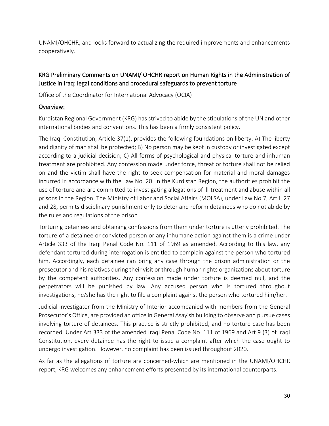UNAMI/OHCHR, and looks forward to actualizing the required improvements and enhancements cooperatively.

## KRG Preliminary Comments on UNAMI/ OHCHR report on Human Rights in the Administration of Justice in Iraq: legal conditions and procedural safeguards to prevent torture

Office of the Coordinator for International Advocacy (OCIA)

## Overview:

Kurdistan Regional Government (KRG) has strived to abide by the stipulations of the UN and other international bodies and conventions. This has been a firmly consistent policy.

The Iraqi Constitution, Article 37(1), provides the following foundations on liberty: A) The liberty and dignity of man shall be protected; B) No person may be kept in custody or investigated except according to a judicial decision; C) All forms of psychological and physical torture and inhuman treatment are prohibited. Any confession made under force, threat or torture shall not be relied on and the victim shall have the right to seek compensation for material and moral damages incurred in accordance with the Law No. 20. In the Kurdistan Region, the authorities prohibit the use of torture and are committed to investigating allegations of ill-treatment and abuse within all prisons in the Region. The Ministry of Labor and Social Affairs (MOLSA), under Law No 7, Art I, 27 and 28, permits disciplinary punishment only to deter and reform detainees who do not abide by the rules and regulations of the prison.

Torturing detainees and obtaining confessions from them under torture is utterly prohibited. The torture of a detainee or convicted person or any inhumane action against them is a crime under Article 333 of the Iraqi Penal Code No. 111 of 1969 as amended. According to this law, any defendant tortured during interrogation is entitled to complain against the person who tortured him. Accordingly, each detainee can bring any case through the prison administration or the prosecutor and his relatives during their visit or through human rights organizations about torture by the competent authorities. Any confession made under torture is deemed null, and the perpetrators will be punished by law. Any accused person who is tortured throughout investigations, he/she has the right to file a complaint against the person who tortured him/her.

Judicial investigator from the Ministry of Interior accompanied with members from the General Prosecutor's Office, are provided an office in General Asayish building to observe and pursue cases involving torture of detainees. This practice is strictly prohibited, and no torture case has been recorded. Under Art 333 of the amended Iraqi Penal Code No. 111 of 1969 and Art 9 (3) of Iraqi Constitution, every detainee has the right to issue a complaint after which the case ought to undergo investigation. However, no complaint has been issued throughout 2020.

As far as the allegations of torture are concerned-which are mentioned in the UNAMI/OHCHR report, KRG welcomes any enhancement efforts presented by its international counterparts.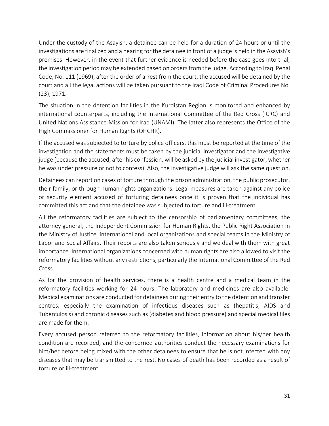Under the custody of the Asayish, a detainee can be held for a duration of 24 hours or until the investigations are finalized and a hearing for the detainee in front of a judge is held in the Asayish's premises. However, in the event that further evidence is needed before the case goes into trial, the investigation period may be extended based on orders from the judge. According to Iraqi Penal Code, No. 111 (1969), after the order of arrest from the court, the accused will be detained by the court and all the legal actions will be taken pursuant to the Iraqi Code of Criminal Procedures No. (23), 1971.

The situation in the detention facilities in the Kurdistan Region is monitored and enhanced by international counterparts, including the International Committee of the Red Cross (ICRC) and United Nations Assistance Mission for Iraq (UNAMI). The latter also represents the Office of the High Commissioner for Human Rights (OHCHR).

If the accused was subjected to torture by police officers, this must be reported at the time of the investigation and the statements must be taken by the judicial investigator and the investigative judge (because the accused, after his confession, will be asked by the judicial investigator, whether he was under pressure or not to confess). Also, the investigative judge will ask the same question.

Detainees can report on cases of torture through the prison administration, the public prosecutor, their family, or through human rights organizations. Legal measures are taken against any police or security element accused of torturing detainees once it is proven that the individual has committed this act and that the detainee was subjected to torture and ill-treatment.

All the reformatory facilities are subject to the censorship of parliamentary committees, the attorney general, the Independent Commission for Human Rights, the Public Right Association in the Ministry of Justice, international and local organizations and special teams in the Ministry of Labor and Social Affairs. Their reports are also taken seriously and we deal with them with great importance. International organizations concerned with human rights are also allowed to visit the reformatory facilities without any restrictions, particularly the International Committee of the Red Cross.

As for the provision of health services, there is a health centre and a medical team in the reformatory facilities working for 24 hours. The laboratory and medicines are also available. Medical examinations are conducted for detainees during their entry to the detention and transfer centres, especially the examination of infectious diseases such as (hepatitis, AIDS and Tuberculosis) and chronic diseases such as (diabetes and blood pressure) and special medical files are made for them.

Every accused person referred to the reformatory facilities, information about his/her health condition are recorded, and the concerned authorities conduct the necessary examinations for him/her before being mixed with the other detainees to ensure that he is not infected with any diseases that may be transmitted to the rest. No cases of death has been recorded as a result of torture or ill-treatment.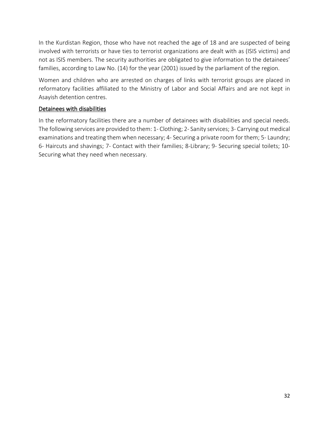In the Kurdistan Region, those who have not reached the age of 18 and are suspected of being involved with terrorists or have ties to terrorist organizations are dealt with as (ISIS victims) and not as ISIS members. The security authorities are obligated to give information to the detainees' families, according to Law No. (14) for the year (2001) issued by the parliament of the region.

Women and children who are arrested on charges of links with terrorist groups are placed in reformatory facilities affiliated to the Ministry of Labor and Social Affairs and are not kept in Asayish detention centres.

## Detainees with disabilities

In the reformatory facilities there are a number of detainees with disabilities and special needs. The following services are provided to them: 1- Clothing; 2- Sanity services; 3- Carrying out medical examinations and treating them when necessary; 4- Securing a private room for them; 5- Laundry; 6- Haircuts and shavings; 7- Contact with their families; 8-Library; 9- Securing special toilets; 10- Securing what they need when necessary.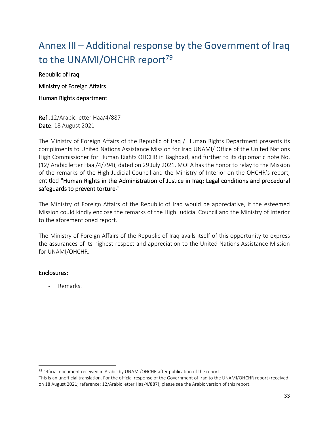# Annex III – Additional response by the Government of Iraq to the UNAMI/OHCHR report<sup>79</sup>

Republic of Iraq

Ministry of Foreign Affairs

Human Rights department

Ref.:12/Arabic letter Haa/4/887 Date: 18 August 2021

The Ministry of Foreign Affairs of the Republic of Iraq / Human Rights Department presents its compliments to United Nations Assistance Mission for Iraq UNAMI/ Office of the United Nations High Commissioner for Human Rights OHCHR in Baghdad, and further to its diplomatic note No. (12/ Arabic letter Haa /4/794), dated on 29 July 2021, MOFA has the honor to relay to the Mission of the remarks of the High Judicial Council and the Ministry of Interior on the OHCHR's report, entitled "Human Rights in the Administration of Justice in Iraq: Legal conditions and procedural safeguards to prevent torture."

The Ministry of Foreign Affairs of the Republic of Iraq would be appreciative, if the esteemed Mission could kindly enclose the remarks of the High Judicial Council and the Ministry of Interior to the aforementioned report.

The Ministry of Foreign Affairs of the Republic of Iraq avails itself of this opportunity to express the assurances of its highest respect and appreciation to the United Nations Assistance Mission for UNAMI/OHCHR.

## Enclosures:

- Remarks.

<sup>&</sup>lt;sup>79</sup> Official document received in Arabic by UNAMI/OHCHR after publication of the report.

This is an unofficial translation. For the official response of the Government of Iraq to the UNAMI/OHCHR report (received on 18 August 2021; reference: 12/Arabic letter Haa/4/887), please see the Arabic version of this report.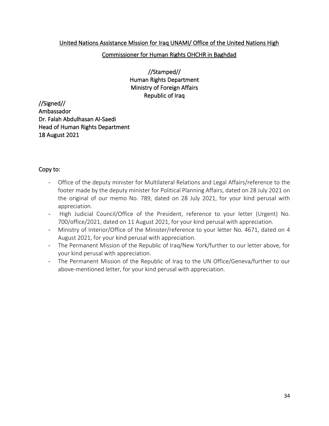## United Nations Assistance Mission for Iraq UNAMI/ Office of the United Nations High

### Commissioner for Human Rights OHCHR in Baghdad

//Stamped// Human Rights Department Ministry of Foreign Affairs Republic of Iraq

//Signed// Ambassador Dr. Falah Abdulhasan Al-Saedi Head of Human Rights Department 18 August 2021

### Copy to:

- Office of the deputy minister for Multilateral Relations and Legal Affairs/reference to the footer made by the deputy minister for Political Planning Affairs, dated on 28 July 2021 on the original of our memo No. 789, dated on 28 July 2021, for your kind perusal with appreciation.
- High Judicial Council/Office of the President, reference to your letter (Urgent) No. 700/office/2021, dated on 11 August 2021, for your kind perusal with appreciation.
- Ministry of Interior/Office of the Minister/reference to your letter No. 4671, dated on 4 August 2021, for your kind perusal with appreciation.
- The Permanent Mission of the Republic of Iraq/New York/further to our letter above, for your kind perusal with appreciation.
- The Permanent Mission of the Republic of Iraq to the UN Office/Geneva/further to our above-mentioned letter, for your kind perusal with appreciation.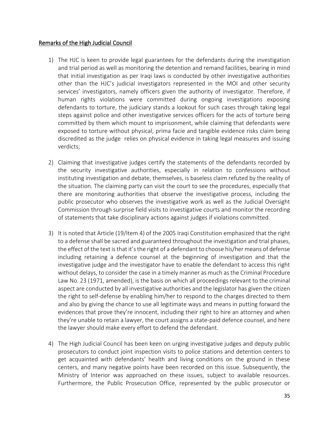### Remarks of the High Judicial Council

- 1) The HJC is keen to provide legal guarantees for the defendants during the investigation and trial period as well as monitoring the detention and remand facilities, bearing in mind that initial investigation as per Iraqi laws is conducted by other investigative authorities other than the HJC's judicial investigators represented in the MOI and other security services' investigators, namely officers given the authority of investigator. Therefore, if human rights violations were committed during ongoing investigations exposing defendants to torture, the judiciary stands a lookout for such cases through taking legal steps against police and other investigative services officers for the acts of torture being committed by them which mount to imprisonment, while claiming that defendants were exposed to torture without physical, prima facie and tangible evidence risks claim being discredited as the judge relies on physical evidence in taking legal measures and issuing verdicts;
- 2) Claiming that investigative judges certify the statements of the defendants recorded by the security investigative authorities, especially in relation to confessions without instituting investigation and debate, themselves, is baseless claim refuted by the reality of the situation. The claiming party can visit the court to see the procedures, especially that there are monitoring authorities that observe the investigative process, including the public prosecutor who observes the investigative work as well as the Judicial Oversight Commission through surprise field visits to investigative courts and monitor the recording of statements that take disciplinary actions against judges if violations committed.
- 3) It is noted that Article (19/Item 4) of the 2005 Iraqi Constitution emphasized that the right to a defense shall be sacred and guaranteed throughout the investigation and trial phases, the effect of the text is that it's the right of a defendant to choose his/her means of defense including retaining a defence counsel at the beginning of investigation and that the investigative judge and the investigator have to enable the defendant to access this right without delays, to consider the case in a timely manner as much as the Criminal Procedure Law No. 23 (1971, amended), is the basis on which all proceedings relevant to the criminal aspect are conducted by all investigative authorities and the legislator has given the citizen the right to self-defense by enabling him/her to respond to the charges directed to them and also by giving the chance to use all legitimate ways and means in putting forward the evidences that prove they're innocent, including their right to hire an attorney and when they're unable to retain a lawyer, the court assigns a state-paid defence counsel, and here the lawyer should make every effort to defend the defendant.
- 4) The High Judicial Council has been keen on urging investigative judges and deputy public prosecutors to conduct joint inspection visits to police stations and detention centers to get acquainted with defendants' health and living conditions on the ground in these centers, and many negative points have been recorded on this issue. Subsequently, the Ministry of Interior was approached on these issues, subject to available resources. Furthermore, the Public Prosecution Office, represented by the public prosecutor or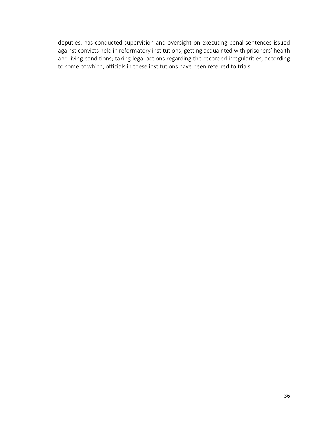deputies, has conducted supervision and oversight on executing penal sentences issued against convicts held in reformatory institutions; getting acquainted with prisoners' health and living conditions; taking legal actions regarding the recorded irregularities, according to some of which, officials in these institutions have been referred to trials.